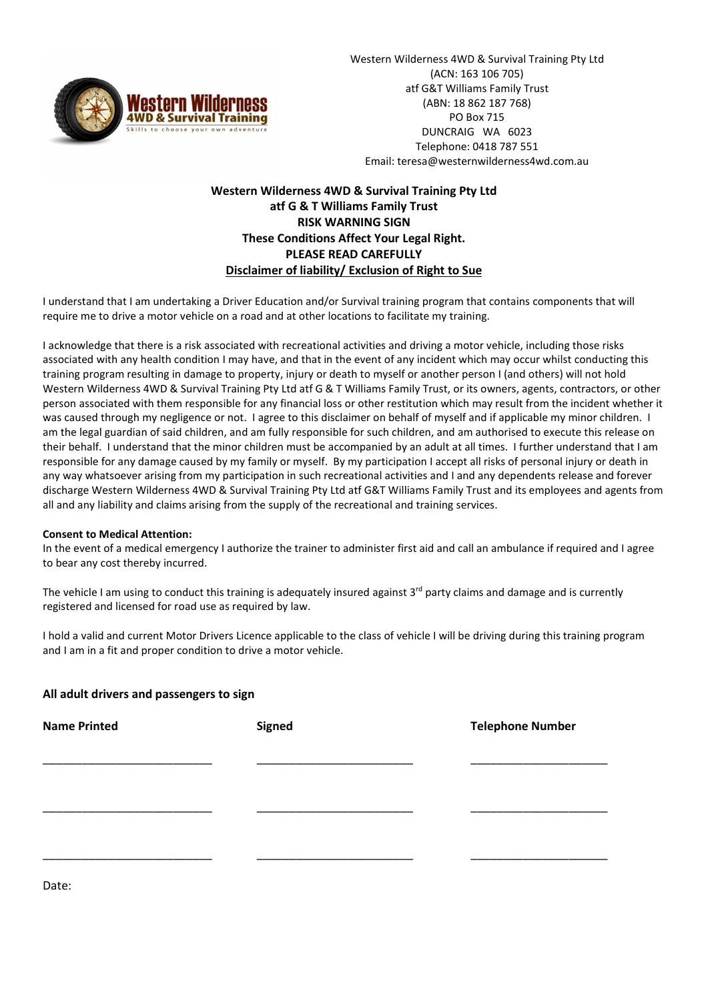

Western Wilderness 4WD & Survival Training Pty Ltd (ACN: 163 106 705) atf G&T Williams Family Trust (ABN: 18 862 187 768) PO Box 715 DUNCRAIG WA 6023 Telephone: 0418 787 551 Email: teresa@westernwilderness4wd.com.au

## Western Wilderness 4WD & Survival Training Pty Ltd atf G & T Williams Family Trust RISK WARNING SIGN These Conditions Affect Your Legal Right. PLEASE READ CAREFULLY Disclaimer of liability/ Exclusion of Right to Sue

I understand that I am undertaking a Driver Education and/or Survival training program that contains components that will require me to drive a motor vehicle on a road and at other locations to facilitate my training.

I acknowledge that there is a risk associated with recreational activities and driving a motor vehicle, including those risks associated with any health condition I may have, and that in the event of any incident which may occur whilst conducting this training program resulting in damage to property, injury or death to myself or another person I (and others) will not hold Western Wilderness 4WD & Survival Training Pty Ltd atf G & T Williams Family Trust, or its owners, agents, contractors, or other person associated with them responsible for any financial loss or other restitution which may result from the incident whether it was caused through my negligence or not. I agree to this disclaimer on behalf of myself and if applicable my minor children. I am the legal guardian of said children, and am fully responsible for such children, and am authorised to execute this release on their behalf. I understand that the minor children must be accompanied by an adult at all times. I further understand that I am responsible for any damage caused by my family or myself. By my participation I accept all risks of personal injury or death in any way whatsoever arising from my participation in such recreational activities and I and any dependents release and forever discharge Western Wilderness 4WD & Survival Training Pty Ltd atf G&T Williams Family Trust and its employees and agents from all and any liability and claims arising from the supply of the recreational and training services.

## Consent to Medical Attention:

In the event of a medical emergency I authorize the trainer to administer first aid and call an ambulance if required and I agree to bear any cost thereby incurred.

The vehicle I am using to conduct this training is adequately insured against  $3<sup>rd</sup>$  party claims and damage and is currently registered and licensed for road use as required by law.

I hold a valid and current Motor Drivers Licence applicable to the class of vehicle I will be driving during this training program and I am in a fit and proper condition to drive a motor vehicle.

| All adult drivers and passengers to sign |               |                         |  |  |
|------------------------------------------|---------------|-------------------------|--|--|
| <b>Name Printed</b>                      | <b>Signed</b> | <b>Telephone Number</b> |  |  |
|                                          |               |                         |  |  |
|                                          |               |                         |  |  |
|                                          |               |                         |  |  |
|                                          |               |                         |  |  |
|                                          |               |                         |  |  |

Date: